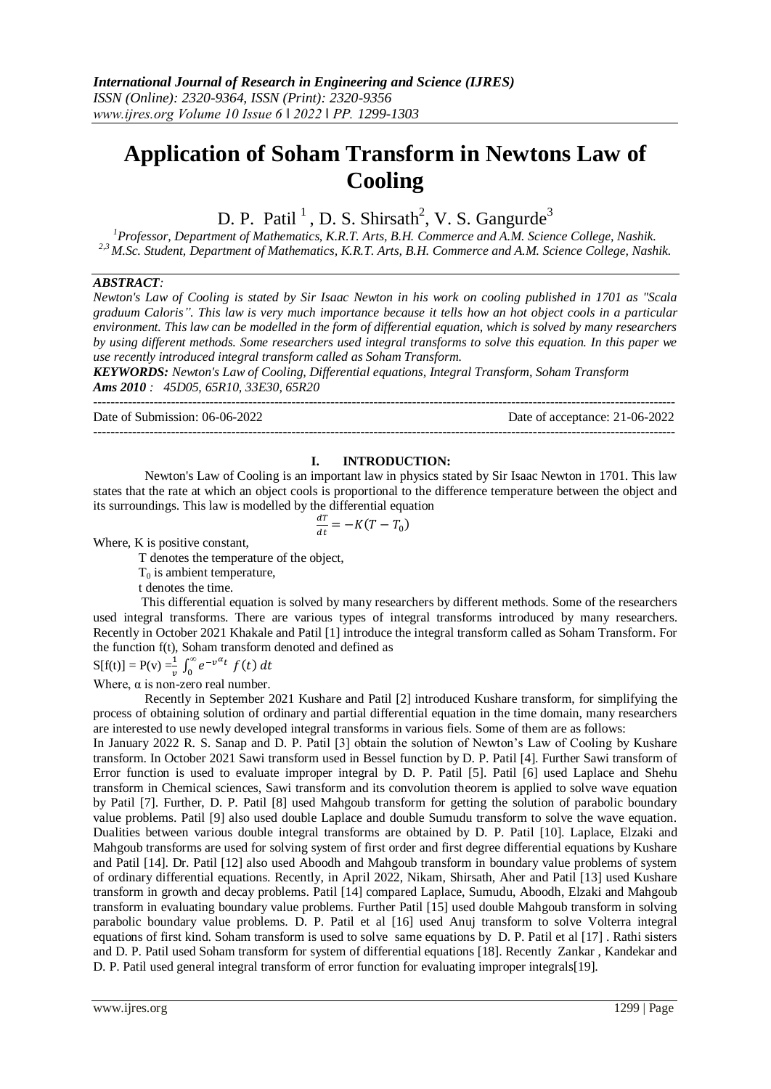# **Application of Soham Transform in Newtons Law of Cooling**

D. P. Patil<sup>1</sup>, D. S. Shirsath<sup>2</sup>, V. S. Gangurde<sup>3</sup>

*<sup>1</sup>Professor, Department of Mathematics, K.R.T. Arts, B.H. Commerce and A.M. Science College, Nashik. 2,3 M.Sc. Student, Department of Mathematics, K.R.T. Arts, B.H. Commerce and A.M. Science College, Nashik.*

### *ABSTRACT:*

*Newton's Law of Cooling is stated by Sir Isaac Newton in his work on cooling published in 1701 as "Scala graduum Caloris". This law is very much importance because it tells how an hot object cools in a particular environment. This law can be modelled in the form of differential equation, which is solved by many researchers by using different methods. Some researchers used integral transforms to solve this equation. In this paper we use recently introduced integral transform called as Soham Transform.*

*KEYWORDS: Newton's Law of Cooling, Differential equations, Integral Transform, Soham Transform Ams 2010 : 45D05, 65R10, 33E30, 65R20*

Date of Submission: 06-06-2022 Date of acceptance: 21-06-2022

### **I. INTRODUCTION:**

---------------------------------------------------------------------------------------------------------------------------------------

Newton's Law of Cooling is an important law in physics stated by Sir Isaac Newton in 1701. This law states that the rate at which an object cools is proportional to the difference temperature between the object and its surroundings. This law is modelled by the differential equation

$$
\frac{dT}{dt} = -K(T - T_0)
$$

Where, K is positive constant,

T denotes the temperature of the object,

---------------------------------------------------------------------------------------------------------------------------------------

 $T_0$  is ambient temperature,

t denotes the time.

 This differential equation is solved by many researchers by different methods. Some of the researchers used integral transforms. There are various types of integral transforms introduced by many researchers. Recently in October 2021 Khakale and Patil [1] introduce the integral transform called as Soham Transform. For the function f(t), Soham transform denoted and defined as

 $S[f(t)] = P(v) = \frac{1}{v} \int_0^{\infty} e^{-v^{\alpha}}$  $\int_{0}^{\infty}e^{-v^{u}t}$  f

Where,  $\alpha$  is non-zero real number.

 Recently in September 2021 Kushare and Patil [2] introduced Kushare transform, for simplifying the process of obtaining solution of ordinary and partial differential equation in the time domain, many researchers are interested to use newly developed integral transforms in various fiels. Some of them are as follows:

In January 2022 R. S. Sanap and D. P. Patil [3] obtain the solution of Newton's Law of Cooling by Kushare transform. In October 2021 Sawi transform used in Bessel function by D. P. Patil [4]. Further Sawi transform of Error function is used to evaluate improper integral by D. P. Patil [5]. Patil [6] used Laplace and Shehu transform in Chemical sciences, Sawi transform and its convolution theorem is applied to solve wave equation by Patil [7]. Further, D. P. Patil [8] used Mahgoub transform for getting the solution of parabolic boundary value problems. Patil [9] also used double Laplace and double Sumudu transform to solve the wave equation. Dualities between various double integral transforms are obtained by D. P. Patil [10]. Laplace, Elzaki and Mahgoub transforms are used for solving system of first order and first degree differential equations by Kushare and Patil [14]. Dr. Patil [12] also used Aboodh and Mahgoub transform in boundary value problems of system of ordinary differential equations. Recently, in April 2022, Nikam, Shirsath, Aher and Patil [13] used Kushare transform in growth and decay problems. Patil [14] compared Laplace, Sumudu, Aboodh, Elzaki and Mahgoub transform in evaluating boundary value problems. Further Patil [15] used double Mahgoub transform in solving parabolic boundary value problems. D. P. Patil et al [16] used Anuj transform to solve Volterra integral equations of first kind. Soham transform is used to solve same equations by D. P. Patil et al [17] . Rathi sisters and D. P. Patil used Soham transform for system of differential equations [18]. Recently Zankar , Kandekar and D. P. Patil used general integral transform of error function for evaluating improper integrals[19].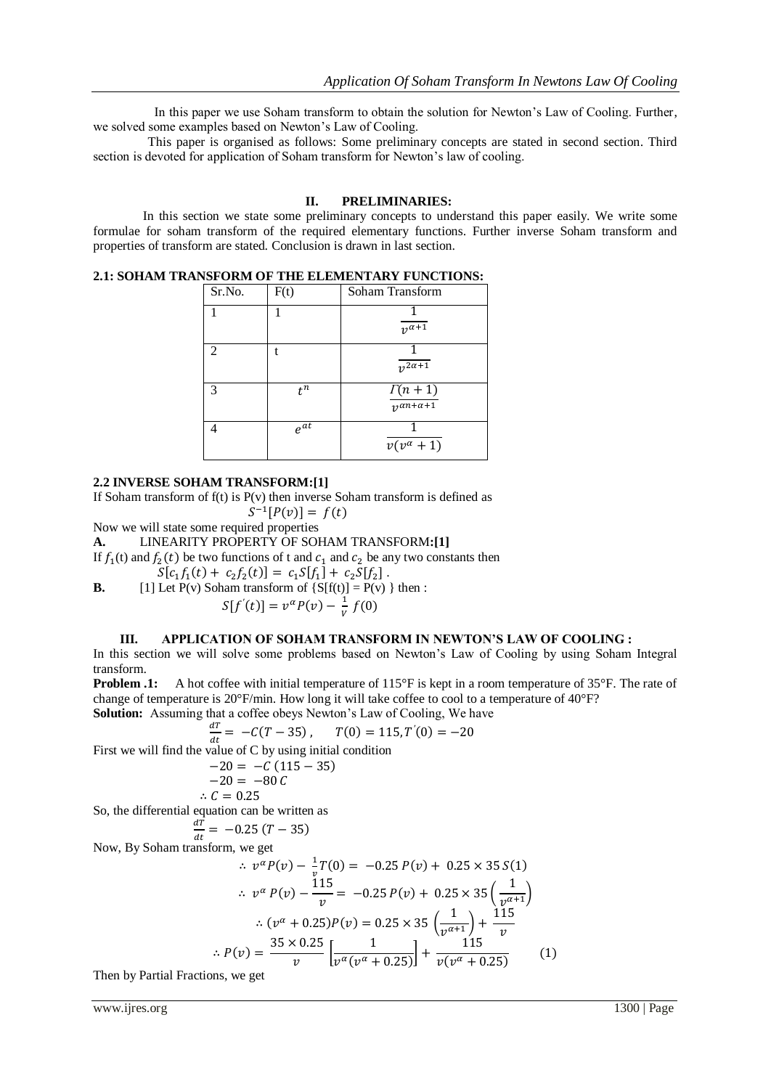In this paper we use Soham transform to obtain the solution for Newton's Law of Cooling. Further, we solved some examples based on Newton's Law of Cooling.

 This paper is organised as follows: Some preliminary concepts are stated in second section. Third section is devoted for application of Soham transform for Newton's law of cooling.

## **II. PRELIMINARIES:**

In this section we state some preliminary concepts to understand this paper easily. We write some formulae for soham transform of the required elementary functions. Further inverse Soham transform and properties of transform are stated. Conclusion is drawn in last section.

**2.1: SOHAM TRANSFORM OF THE ELEMENTARY FUNCTIONS:**

| Sr.No. | F(t)           | Soham Transform                              |
|--------|----------------|----------------------------------------------|
|        |                | $\sqrt{u^{2}+1}$                             |
| 2      |                | $v^{2\alpha+1}$                              |
| 3      | $t^n$          | $\Gamma(n+1)$<br>$\frac{1}{2}a^{n+\alpha+1}$ |
|        | $e^{a\bar{t}}$ | $v(v^{\alpha}+1)$                            |

#### **2.2 INVERSE SOHAM TRANSFORM:[1]**

If Soham transform of  $f(t)$  is  $P(v)$  then inverse Soham transform is defined as

 $^{-1}$ [

Now we will state some required properties

**A.** LINEARITY PROPERTY OF SOHAM TRANSFORM**:[1]**

If  $f_1(t)$  and  $f_2(t)$  be two functions of t and  $c_1$  and  $c_2$  be any two constants then

 $(t) + c_2 f_2(t) = c_1 S[f_1] + c_2 S[f_2].$ 

**B.** [1] Let P(v) Soham transform of {S[f(t)] = P(v)} then :  

$$
S[f'(t)] = v^{\alpha}P(v) - \frac{1}{v} f(0)
$$

### **III. APPLICATION OF SOHAM TRANSFORM IN NEWTON'S LAW OF COOLING :**

In this section we will solve some problems based on Newton's Law of Cooling by using Soham Integral transform.

**Problem .1:** A hot coffee with initial temperature of 115°F is kept in a room temperature of 35°F. The rate of change of temperature is 20°F/min. How long it will take coffee to cool to a temperature of 40°F? **Solution:** Assuming that a coffee obeys Newton's Law of Cooling, We have

$$
\frac{dT}{dt} = -C(T - 35), \qquad T(0) = 115, T'(0) = -20
$$

First we will find the value of C by using initial condition

$$
-20 = -C (115 - 35)
$$
  
-20 = -80 C

$$
\mathcal{C}=0.25
$$

 $\ddot{\cdot}$ So, the differential equation can be written as

$$
\frac{dT}{dt} = -0.25 (T - 35)
$$

Now, By Soham transform, we get

$$
\therefore v^{\alpha} P(v) - \frac{1}{v} T(0) = -0.25 P(v) + 0.25 \times 35 S(1)
$$
  
\n
$$
\therefore v^{\alpha} P(v) - \frac{115}{v} = -0.25 P(v) + 0.25 \times 35 \left(\frac{1}{v^{\alpha+1}}\right)
$$
  
\n
$$
\therefore (v^{\alpha} + 0.25) P(v) = 0.25 \times 35 \left(\frac{1}{v^{\alpha+1}}\right) + \frac{115}{v}
$$
  
\n
$$
\therefore P(v) = \frac{35 \times 0.25}{v} \left[\frac{1}{v^{\alpha}(v^{\alpha} + 0.25)}\right] + \frac{115}{v(v^{\alpha} + 0.25)} \tag{1}
$$

Then by Partial Fractions, we get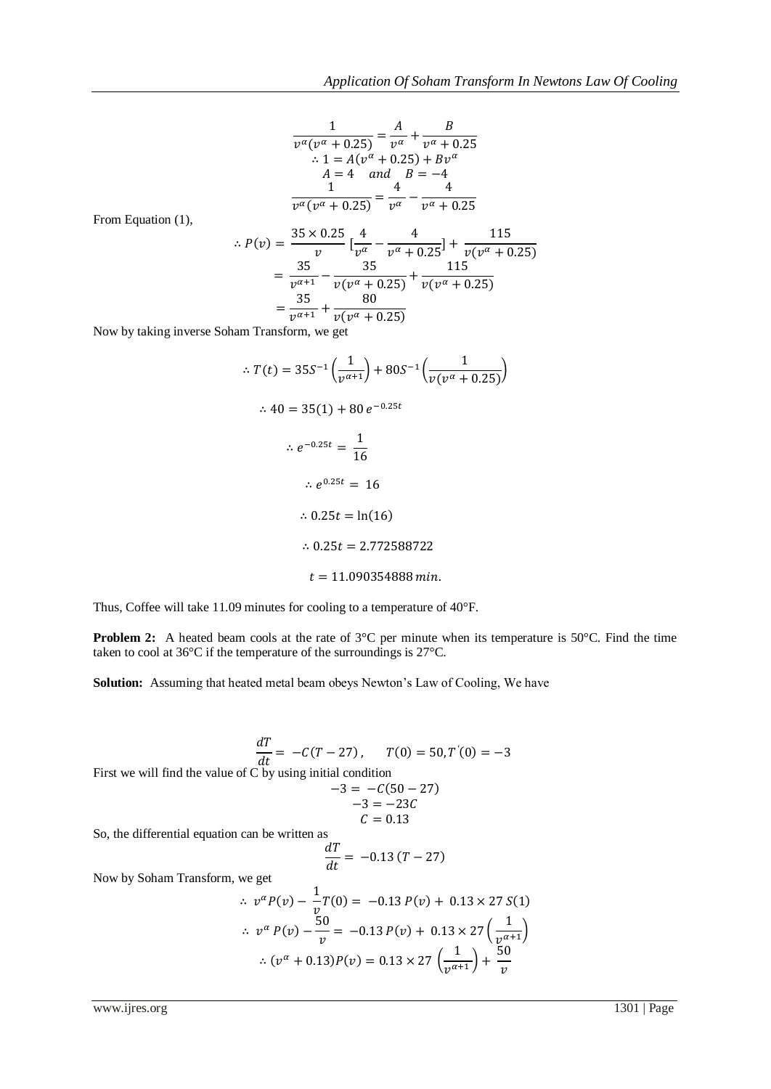$$
\frac{1}{v^{\alpha}(v^{\alpha}+0.25)} = \frac{A}{v^{\alpha}} + \frac{B}{v^{\alpha}+0.25}
$$
  
:. 1 = A(v^{\alpha} + 0.25) + Bv^{\alpha}  
A = 4 and B = -4  

$$
\frac{1}{v^{\alpha}(v^{\alpha}+0.25)} = \frac{4}{v^{\alpha}} - \frac{4}{v^{\alpha}+0.25}
$$

From Equation (1),

$$
\therefore P(v) = \frac{35 \times 0.25}{v} \left[ \frac{4}{v^{\alpha}} - \frac{4}{v^{\alpha} + 0.25} \right] + \frac{115}{v(v^{\alpha} + 0.25)}
$$

$$
= \frac{35}{v^{\alpha+1}} - \frac{35}{v(v^{\alpha} + 0.25)} + \frac{115}{v(v^{\alpha} + 0.25)}
$$

$$
= \frac{35}{v^{\alpha+1}} + \frac{80}{v(v^{\alpha} + 0.25)}
$$

Now by taking inverse Soham Transform, we get

$$
\therefore T(t) = 35S^{-1} \left(\frac{1}{v^{\alpha+1}}\right) + 80S^{-1} \left(\frac{1}{v(v^{\alpha} + 0.25)}\right)
$$
  
\n
$$
\therefore 40 = 35(1) + 80 e^{-0.25t}
$$
  
\n
$$
\therefore e^{-0.25t} = \frac{1}{16}
$$
  
\n
$$
\therefore e^{0.25t} = 16
$$
  
\n
$$
\therefore 0.25t = \ln(16)
$$
  
\n
$$
\therefore 0.25t = 2.772588722
$$
  
\n
$$
t = 11.090354888 \text{ min.}
$$

Thus, Coffee will take 11.09 minutes for cooling to a temperature of 40°F.

**Problem 2:** A heated beam cools at the rate of 3°C per minute when its temperature is 50°C. Find the time taken to cool at 36°C if the temperature of the surroundings is 27°C.

**Solution:** Assuming that heated metal beam obeys Newton's Law of Cooling, We have

$$
\frac{dT}{dt} = -C(T - 27), \qquad T(0) = 50, T'(0) = -3
$$
  
First we will find the value of C by using initial condition  

$$
-3 = -C(50 - 27)
$$

$$
-3 = -23C
$$

$$
C = 0.13
$$
  
So, the differential equation can be written as  

$$
\frac{dT}{dt} = -0.13 (T - 27)
$$
  
Now by Soham Transform, we get  

$$
\therefore v^{\alpha}P(v) - \frac{1}{v}T(0) = -0.13 P(v) + 0.13 \times 27 S(1)
$$

$$
\therefore v^{\alpha} P(v) - \frac{50}{v} = -0.13 P(v) + 0.13 \times 27 \left(\frac{1}{v^{\alpha+1}}\right)
$$

$$
\therefore (v^{\alpha} + 0.13)P(v) = 0.13 \times 27 \left(\frac{1}{v^{\alpha+1}}\right) + \frac{50}{v}
$$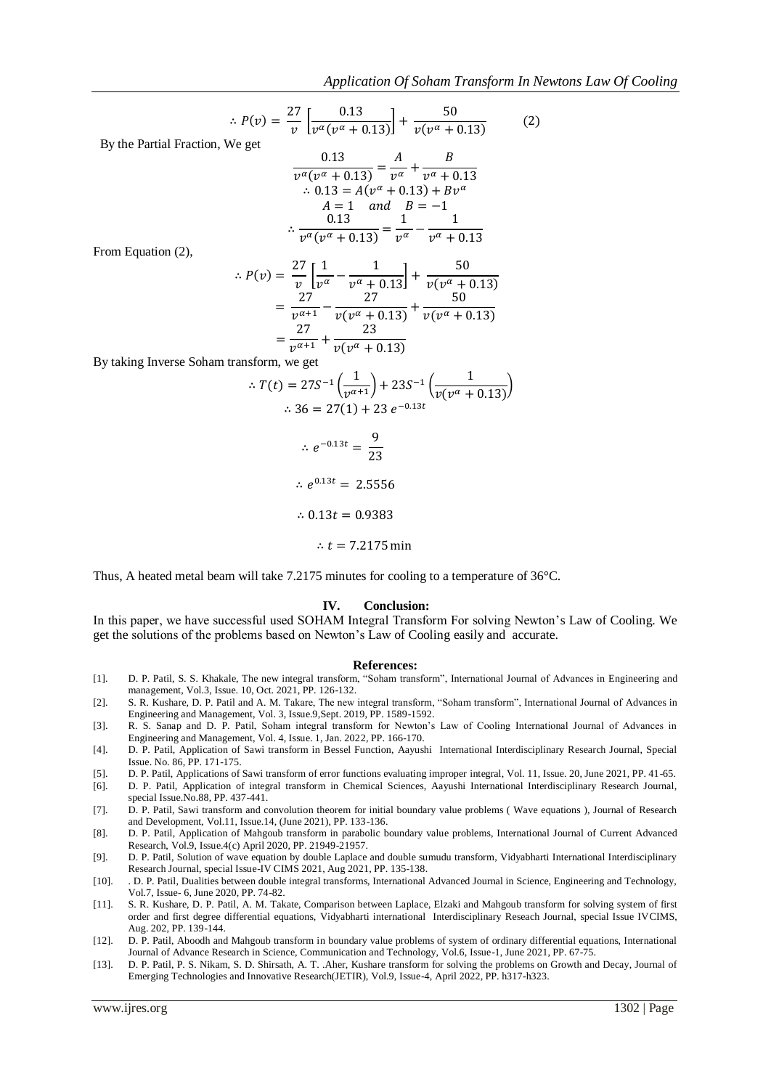$$
\therefore P(v) = \frac{27}{v} \left[ \frac{0.13}{v^{\alpha} (v^{\alpha} + 0.13)} \right] + \frac{50}{v (v^{\alpha} + 0.13)} \tag{2}
$$

By the Partial Fraction, We get

$$
\frac{0.13}{v^{\alpha}(v^{\alpha} + 0.13)} = \frac{A}{v^{\alpha}} + \frac{B}{v^{\alpha} + 0.13}
$$
  
.:  $0.13 = A(v^{\alpha} + 0.13) + Bv^{\alpha}$   
 $A = 1$  and  $B = -1$   
.:  $\frac{0.13}{v^{\alpha}(v^{\alpha} + 0.13)} = \frac{1}{v^{\alpha}} - \frac{1}{v^{\alpha} + 0.13}$ 

From Equation (2),

$$
\therefore P(v) = \frac{27}{v} \left[ \frac{1}{v^{\alpha}} - \frac{1}{v^{\alpha} + 0.13} \right] + \frac{50}{v(v^{\alpha} + 0.13)}
$$
  
= 
$$
\frac{27}{v^{\alpha+1}} - \frac{27}{v(v^{\alpha} + 0.13)} + \frac{50}{v(v^{\alpha} + 0.13)}
$$
  
= 
$$
\frac{27}{v^{\alpha+1}} + \frac{23}{v(v^{\alpha} + 0.13)}
$$

By taking Inverse Soham transform, we get

$$
\therefore T(t) = 27S^{-1} \left( \frac{1}{v^{\alpha+1}} \right) + 23S^{-1} \left( \frac{1}{v(v^{\alpha} + 0.13)} \right)
$$
  

$$
\therefore 36 = 27(1) + 23 e^{-0.13t}
$$
  

$$
\therefore e^{-0.13t} = \frac{9}{23}
$$
  

$$
\therefore e^{0.13t} = 2.5556
$$
  

$$
\therefore 0.13t = 0.9383
$$
  

$$
\therefore t = 7.2175 \text{ min}
$$

Thus, A heated metal beam will take 7.2175 minutes for cooling to a temperature of 36°C.

#### **IV. Conclusion:**

In this paper, we have successful used SOHAM Integral Transform For solving Newton's Law of Cooling. We get the solutions of the problems based on Newton's Law of Cooling easily and accurate.

#### **References:**

- [1]. D. P. Patil, S. S. Khakale, The new integral transform, "Soham transform", International Journal of Advances in Engineering and management, Vol.3, Issue. 10, Oct. 2021, PP. 126-132.
- [2]. S. R. Kushare, D. P. Patil and A. M. Takare, The new integral transform, "Soham transform", International Journal of Advances in Engineering and Management, Vol. 3, Issue.9,Sept. 2019, PP. 1589-1592.
- [3]. R. S. Sanap and D. P. Patil, Soham integral transform for Newton's Law of Cooling International Journal of Advances in Engineering and Management, Vol. 4, Issue. 1, Jan. 2022, PP. 166-170.
- [4]. D. P. Patil, Application of Sawi transform in Bessel Function, Aayushi International Interdisciplinary Research Journal, Special Issue. No. 86, PP. 171-175.
- [5]. D. P. Patil, Applications of Sawi transform of error functions evaluating improper integral, Vol. 11, Issue. 20, June 2021, PP. 41-65.
- [6]. D. P. Patil, Application of integral transform in Chemical Sciences, Aayushi International Interdisciplinary Research Journal, special Issue.No.88, PP. 437-441.
- [7]. D. P. Patil, Sawi transform and convolution theorem for initial boundary value problems ( Wave equations ), Journal of Research and Development, Vol.11, Issue.14, (June 2021), PP. 133-136.
- [8]. D. P. Patil, Application of Mahgoub transform in parabolic boundary value problems, International Journal of Current Advanced Research, Vol.9, Issue.4(c) April 2020, PP. 21949-21957.
- [9]. D. P. Patil, Solution of wave equation by double Laplace and double sumudu transform, Vidyabharti International Interdisciplinary Research Journal, special Issue-IV CIMS 2021, Aug 2021, PP. 135-138.
- [10]. . D. P. Patil, Dualities between double integral transforms, International Advanced Journal in Science, Engineering and Technology, Vol.7, Issue- 6, June 2020, PP. 74-82.
- [11]. S. R. Kushare, D. P. Patil, A. M. Takate, Comparison between Laplace, Elzaki and Mahgoub transform for solving system of first order and first degree differential equations, Vidyabharti international Interdisciplinary Reseach Journal, special Issue IVCIMS, Aug. 202, PP. 139-144.
- [12]. D. P. Patil, Aboodh and Mahgoub transform in boundary value problems of system of ordinary differential equations, International Journal of Advance Research in Science, Communication and Technology, Vol.6, Issue-1, June 2021, PP. 67-75.
- [13]. D. P. Patil, P. S. Nikam, S. D. Shirsath, A. T. .Aher, Kushare transform for solving the problems on Growth and Decay, Journal of Emerging Technologies and Innovative Research(JETIR), Vol.9, Issue-4, April 2022, PP. h317-h323.